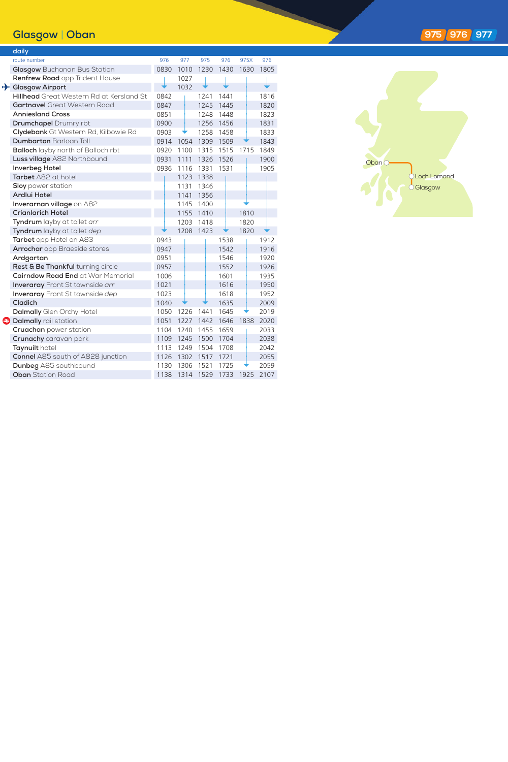## **Glasgow** | **Oban**

|  | daily                                     |      |      |      |      |      |      |
|--|-------------------------------------------|------|------|------|------|------|------|
|  | route number                              | 976  | 977  | 975  | 976  | 975X | 976  |
|  | Glasgow Buchanan Bus Station              | 0830 | 1010 | 1230 | 1430 | 1630 | 1805 |
|  | Renfrew Road opp Trident House            |      | 1027 |      |      |      |      |
|  | Glasgow Airport                           |      | 1032 |      |      |      |      |
|  | Hillhead Great Western Rd at Kersland St  | 0842 |      | 1241 | 1441 |      | 1816 |
|  | <b>Gartnavel</b> Great Western Road       | 0847 |      | 1245 | 1445 |      | 1820 |
|  | <b>Anniesland Cross</b>                   | 0851 |      | 1248 | 1448 |      | 1823 |
|  | <b>Drumchapel</b> Drumry rbt              | 0900 |      | 1256 | 1456 |      | 1831 |
|  | Clydebank Gt Western Rd, Kilbowie Rd      | 0903 |      | 1258 | 1458 |      | 1833 |
|  | <b>Dumbarton Barloan Toll</b>             | 0914 | 1054 | 1309 | 1509 |      | 1843 |
|  | <b>Balloch</b> layby north of Balloch rbt | 0920 | 1100 | 1315 | 1515 | 1715 | 1849 |
|  | Luss village A82 Northbound               | 0931 | 1111 | 1326 | 1526 |      | 1900 |
|  | Inverbeg Hotel                            | 0936 | 1116 | 1331 | 1531 |      | 1905 |
|  | Tarbet A82 at hotel                       |      | 1123 | 1338 |      |      |      |
|  | <b>Sloy</b> power station                 |      | 1131 | 1346 |      |      |      |
|  | Ardlui Hotel                              |      | 1141 | 1356 |      |      |      |
|  | Inverarnan village on A82                 |      | 1145 | 1400 |      |      |      |
|  | <b>Crianlarich Hotel</b>                  |      | 1155 | 1410 |      | 1810 |      |
|  | Tyndrum layby at toilet arr               |      | 1203 | 1418 |      | 1820 |      |
|  | Tyndrum layby at toilet dep               |      | 1208 | 1423 |      | 1820 |      |
|  | Tarbet opp Hotel on A83                   | 0943 |      |      | 1538 |      | 1912 |
|  | Arrochar opp Braeside stores              | 0947 |      |      | 1542 |      | 1916 |
|  | Ardgartan                                 | 0951 |      |      | 1546 |      | 1920 |
|  | Rest & Be Thankful turning circle         | 0957 |      |      | 1552 |      | 1926 |
|  | Cairndow Road End at War Memorial         | 1006 |      |      | 1601 |      | 1935 |
|  | <b>Inveraray</b> Front St townside arr    | 1021 |      |      | 1616 |      | 1950 |
|  | <b>Inveraray</b> Front St townside dep    | 1023 |      |      | 1618 |      | 1952 |
|  | Cladich                                   | 1040 |      |      | 1635 |      | 2009 |
|  | Dalmally Glen Orchy Hotel                 | 1050 | 1226 | 1441 | 1645 |      | 2019 |
|  | <b>a</b> Dalmally rail station            | 1051 | 1227 | 1442 | 1646 | 1838 | 2020 |
|  | Cruachan power station                    | 1104 | 1240 | 1455 | 1659 |      | 2033 |
|  | Crunachy caravan park                     | 1109 | 1245 | 1500 | 1704 |      | 2038 |
|  | Taynuilt hotel                            | 1113 | 1249 | 1504 | 1708 |      | 2042 |
|  | <b>Connel</b> A85 south of A828 junction  | 1126 | 1302 | 1517 | 1721 |      | 2055 |
|  | Dunbeg A85 southbound                     | 1130 | 1306 | 1521 | 1725 |      | 2059 |
|  | <b>Oban</b> Station Road                  | 1138 | 1314 | 1529 | 1733 | 1925 | 2107 |



## **97 5 976 977**